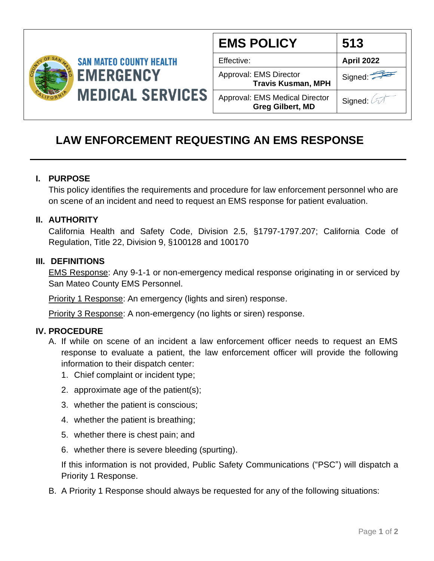

| <b>EMS POLICY</b>                                         | 513               |
|-----------------------------------------------------------|-------------------|
| Effective:                                                | <b>April 2022</b> |
| Approval: EMS Director<br><b>Travis Kusman, MPH</b>       | Signed:           |
| Approval: EMS Medical Director<br><b>Greg Gilbert, MD</b> | Signed: 2         |

# **LAW ENFORCEMENT REQUESTING AN EMS RESPONSE**

### **I. PURPOSE**

This policy identifies the requirements and procedure for law enforcement personnel who are on scene of an incident and need to request an EMS response for patient evaluation.

### **II. AUTHORITY**

California Health and Safety Code, Division 2.5, §1797-1797.207; California Code of Regulation, Title 22, Division 9, §100128 and 100170

#### **III. DEFINITIONS**

EMS Response: Any 9-1-1 or non-emergency medical response originating in or serviced by San Mateo County EMS Personnel.

**Priority 1 Response:** An emergency (lights and siren) response.

Priority 3 Response: A non-emergency (no lights or siren) response.

## **IV. PROCEDURE**

- A. If while on scene of an incident a law enforcement officer needs to request an EMS response to evaluate a patient, the law enforcement officer will provide the following information to their dispatch center:
	- 1. Chief complaint or incident type;
	- 2. approximate age of the patient(s);
	- 3. whether the patient is conscious;
	- 4. whether the patient is breathing;
	- 5. whether there is chest pain; and
	- 6. whether there is severe bleeding (spurting).

If this information is not provided, Public Safety Communications ("PSC") will dispatch a Priority 1 Response.

B. A Priority 1 Response should always be requested for any of the following situations: